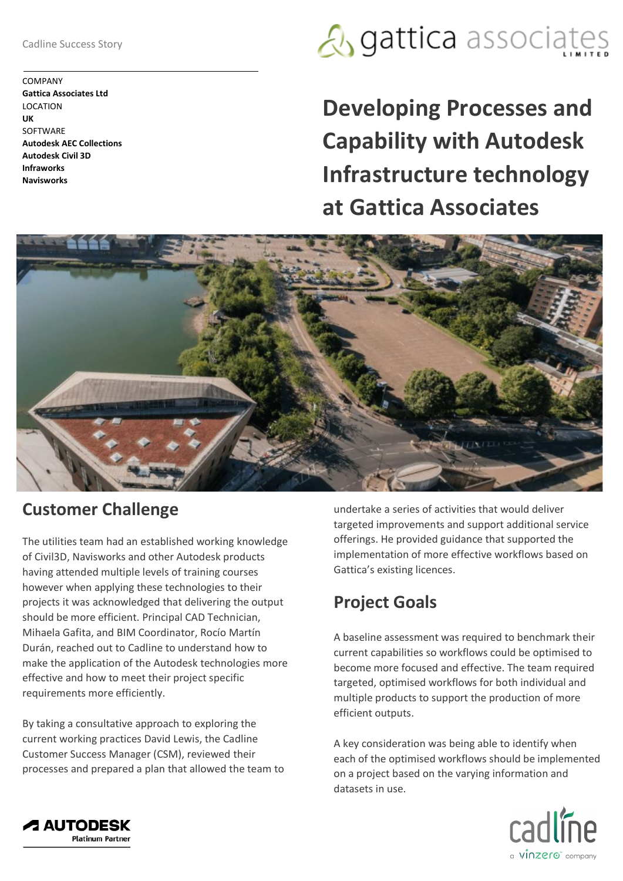Cadline Success Story

COMPANY **Gattica Associates Ltd** LOCATION **UK SOFTWARE Autodesk AEC Collections Autodesk Civil 3D Infraworks Navisworks**

## **A** gattica associates

**Developing Processes and Capability with Autodesk Infrastructure technology at Gattica Associates**



#### **Customer Challenge**

The utilities team had an established working knowledge of Civil3D, Navisworks and other Autodesk products having attended multiple levels of training courses however when applying these technologies to their projects it was acknowledged that delivering the output should be more efficient. Principal CAD Technician, Mihaela Gafita, and BIM Coordinator, Rocío Martín Durán, reached out to Cadline to understand how to make the application of the Autodesk technologies more effective and how to meet their project specific requirements more efficiently.

By taking a consultative approach to exploring the current working practices David Lewis, the Cadline Customer Success Manager (CSM), reviewed their processes and prepared a plan that allowed the team to

undertake a series of activities that would deliver targeted improvements and support additional service offerings. He provided guidance that supported the implementation of more effective workflows based on Gattica's existing licences.

### **Project Goals**

A baseline assessment was required to benchmark their current capabilities so workflows could be optimised to become more focused and effective. The team required targeted, optimised workflows for both individual and multiple products to support the production of more efficient outputs.

A key consideration was being able to identify when each of the optimised workflows should be implemented on a project based on the varying information and datasets in use.